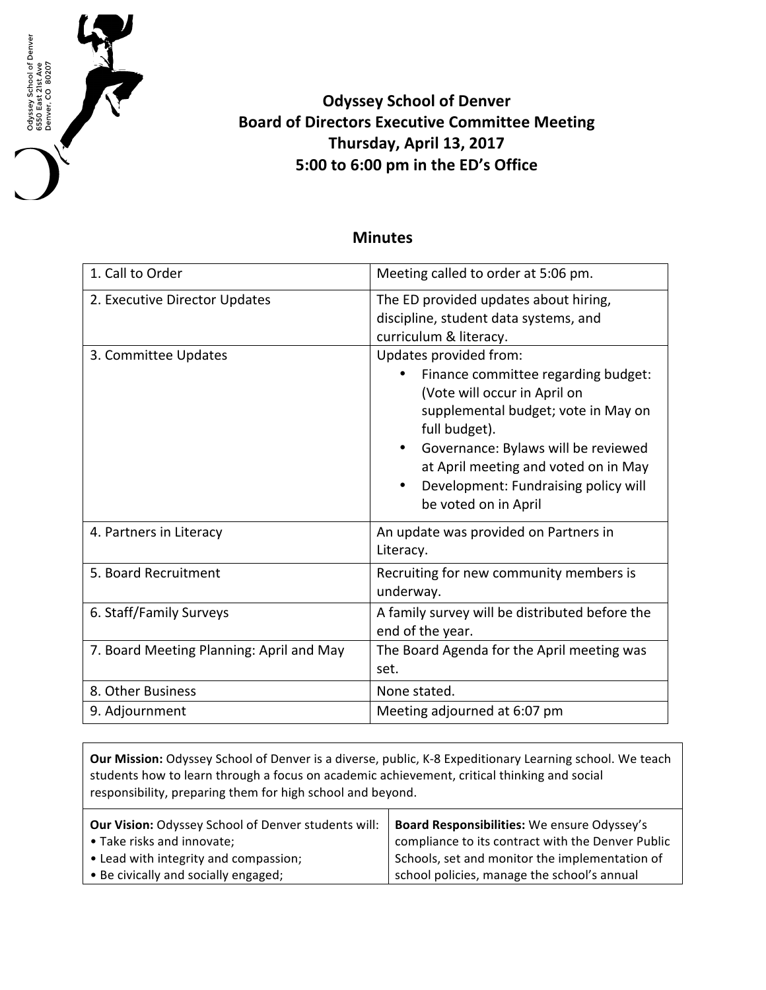

## **Odyssey School of Denver Board of Directors Executive Committee Meeting Thursday, April 13, 2017 5:00 to 6:00 pm in the ED's Office**

## **Minutes**

| 1. Call to Order                         | Meeting called to order at 5:06 pm.                                                                                                                                                                                                                                                                  |
|------------------------------------------|------------------------------------------------------------------------------------------------------------------------------------------------------------------------------------------------------------------------------------------------------------------------------------------------------|
| 2. Executive Director Updates            | The ED provided updates about hiring,<br>discipline, student data systems, and<br>curriculum & literacy.                                                                                                                                                                                             |
| 3. Committee Updates                     | Updates provided from:<br>Finance committee regarding budget:<br>(Vote will occur in April on<br>supplemental budget; vote in May on<br>full budget).<br>Governance: Bylaws will be reviewed<br>at April meeting and voted on in May<br>Development: Fundraising policy will<br>be voted on in April |
| 4. Partners in Literacy                  | An update was provided on Partners in<br>Literacy.                                                                                                                                                                                                                                                   |
| 5. Board Recruitment                     | Recruiting for new community members is<br>underway.                                                                                                                                                                                                                                                 |
| 6. Staff/Family Surveys                  | A family survey will be distributed before the<br>end of the year.                                                                                                                                                                                                                                   |
| 7. Board Meeting Planning: April and May | The Board Agenda for the April meeting was<br>set.                                                                                                                                                                                                                                                   |
| 8. Other Business                        | None stated.                                                                                                                                                                                                                                                                                         |
| 9. Adjournment                           | Meeting adjourned at 6:07 pm                                                                                                                                                                                                                                                                         |

**Our Mission:** Odyssey School of Denver is a diverse, public, K-8 Expeditionary Learning school. We teach students how to learn through a focus on academic achievement, critical thinking and social responsibility, preparing them for high school and beyond.

| <b>Our Vision: Odyssey School of Denver students will:</b> | Board Responsibilities: We ensure Odyssey's       |
|------------------------------------------------------------|---------------------------------------------------|
| • Take risks and innovate;                                 | compliance to its contract with the Denver Public |
| • Lead with integrity and compassion;                      | Schools, set and monitor the implementation of    |
| • Be civically and socially engaged;                       | school policies, manage the school's annual       |